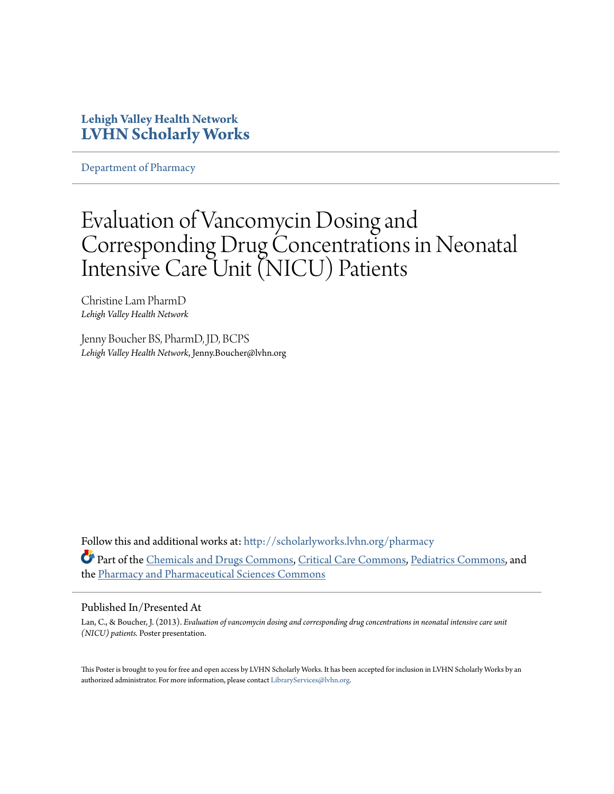#### **Lehigh Valley Health Network [LVHN Scholarly Works](http://scholarlyworks.lvhn.org?utm_source=scholarlyworks.lvhn.org%2Fpharmacy%2F35&utm_medium=PDF&utm_campaign=PDFCoverPages)**

[Department of Pharmacy](http://scholarlyworks.lvhn.org/pharmacy?utm_source=scholarlyworks.lvhn.org%2Fpharmacy%2F35&utm_medium=PDF&utm_campaign=PDFCoverPages)

#### Evaluation of Vancomycin Dosing and Corresponding Drug Concentrations in Neonatal Intensive Care Unit (NICU) Patients

Christine Lam PharmD *Lehigh Valley Health Network*

Jenny Boucher BS, PharmD, JD, BCPS *Lehigh Valley Health Network*, Jenny.Boucher@lvhn.org

Follow this and additional works at: [http://scholarlyworks.lvhn.org/pharmacy](http://scholarlyworks.lvhn.org/pharmacy?utm_source=scholarlyworks.lvhn.org%2Fpharmacy%2F35&utm_medium=PDF&utm_campaign=PDFCoverPages) Part of the [Chemicals and Drugs Commons,](http://network.bepress.com/hgg/discipline/902?utm_source=scholarlyworks.lvhn.org%2Fpharmacy%2F35&utm_medium=PDF&utm_campaign=PDFCoverPages) [Critical Care Commons,](http://network.bepress.com/hgg/discipline/1226?utm_source=scholarlyworks.lvhn.org%2Fpharmacy%2F35&utm_medium=PDF&utm_campaign=PDFCoverPages) [Pediatrics Commons,](http://network.bepress.com/hgg/discipline/700?utm_source=scholarlyworks.lvhn.org%2Fpharmacy%2F35&utm_medium=PDF&utm_campaign=PDFCoverPages) and the [Pharmacy and Pharmaceutical Sciences Commons](http://network.bepress.com/hgg/discipline/731?utm_source=scholarlyworks.lvhn.org%2Fpharmacy%2F35&utm_medium=PDF&utm_campaign=PDFCoverPages)

#### Published In/Presented At

Lan, C., & Boucher, J. (2013). *Evaluation of vancomycin dosing and corresponding drug concentrations in neonatal intensive care unit (NICU) patients.* Poster presentation.

This Poster is brought to you for free and open access by LVHN Scholarly Works. It has been accepted for inclusion in LVHN Scholarly Works by an authorized administrator. For more information, please contact [LibraryServices@lvhn.org.](mailto:LibraryServices@lvhn.org)